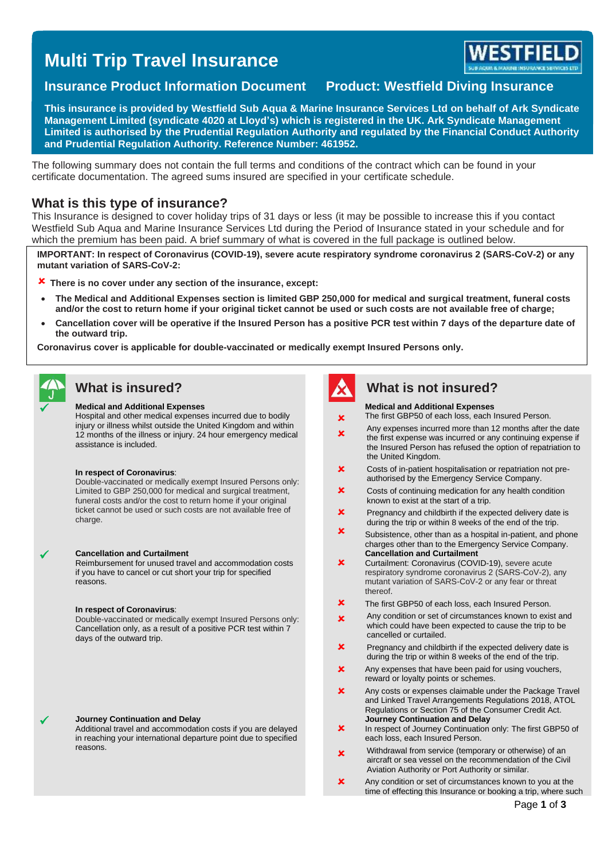# **Multi Trip Travel Insurance**



### **Insurance Product Information Document Product: Westfield Diving Insurance**

**This insurance is provided by Westfield Sub Aqua & Marine Insurance Services Ltd on behalf of Ark Syndicate Management Limited (syndicate 4020 at Lloyd's) which is registered in the UK. Ark Syndicate Management Limited is authorised by the Prudential Regulation Authority and regulated by the Financial Conduct Authority and Prudential Regulation Authority. Reference Number: 461952.**

The following summary does not contain the full terms and conditions of the contract which can be found in your certificate documentation. The agreed sums insured are specified in your certificate schedule.

### **What is this type of insurance?**

This Insurance is designed to cover holiday trips of 31 days or less (it may be possible to increase this if you contact Westfield Sub Aqua and Marine Insurance Services Ltd during the Period of Insurance stated in your schedule and for which the premium has been paid. A brief summary of what is covered in the full package is outlined below.

**IMPORTANT: In respect of Coronavirus (COVID-19), severe acute respiratory syndrome coronavirus 2 (SARS-CoV-2) or any mutant variation of SARS-CoV-2:** 

**There is no cover under any section of the insurance, except:**

- **The Medical and Additional Expenses section is limited GBP 250,000 for medical and surgical treatment, funeral costs and/or the cost to return home if your original ticket cannot be used or such costs are not available free of charge;**
- **Cancellation cover will be operative if the Insured Person has a positive PCR test within 7 days of the departure date of the outward trip.**

**Coronavirus cover is applicable for double-vaccinated or medically exempt Insured Persons only.**



#### ✓ **Medical and Additional Expenses**

Hospital and other medical expenses incurred due to bodily injury or illness whilst outside the United Kingdom and within 12 months of the illness or injury. 24 hour emergency medical assistance is included.

#### **In respect of Coronavirus**:

Double-vaccinated or medically exempt Insured Persons only: Limited to GBP 250,000 for medical and surgical treatment, funeral costs and/or the cost to return home if your original ticket cannot be used or such costs are not available free of charge.

#### ✓ **Cancellation and Curtailment**

Reimbursement for unused travel and accommodation costs if you have to cancel or cut short your trip for specified reasons.

#### **In respect of Coronavirus**:

Double-vaccinated or medically exempt Insured Persons only: Cancellation only, as a result of a positive PCR test within 7 days of the outward trip.

#### ✓ **Journey Continuation and Delay**

Additional travel and accommodation costs if you are delayed in reaching your international departure point due to specified reasons.



### **What is insured? What is not insured?**

#### **Medical and Additional Expenses**

The first GBP50 of each loss, each Insured Person.

- × Ÿ Any expenses incurred more than 12 months after the date the first expense was incurred or any continuing expense if the Insured Person has refused the option of repatriation to the United Kingdom.
- $\pmb{\times}$ Costs of in-patient hospitalisation or repatriation not preauthorised by the Emergency Service Company.
- × Costs of continuing medication for any health condition known to exist at the start of a trip.
- **Y** Pregnancy and childbirth if the expected delivery date is during the trip or within 8 weeks of the end of the trip.
- $\mathbf x$ Subsistence, other than as a hospital in-patient, and phone charges other than to the Emergency Service Company. **Cancellation and Curtailment**
- × Curtailment: Coronavirus (COVID-19), severe acute respiratory syndrome coronavirus 2 (SARS-CoV-2), any mutant variation of SARS-CoV-2 or any fear or threat thereof.
- **Y** The first GBP50 of each loss, each Insured Person.
- $\mathbf{x}$ Any condition or set of circumstances known to exist and which could have been expected to cause the trip to be cancelled or curtailed.
- $\mathbf x$ Pregnancy and childbirth if the expected delivery date is during the trip or within 8 weeks of the end of the trip.
- $\bullet$ Any expenses that have been paid for using vouchers, reward or loyalty points or schemes.
- $\mathbf{v}$ Any costs or expenses claimable under the Package Travel and Linked Travel Arrangements Regulations 2018, ATOL Regulations or Section 75 of the Consumer Credit Act. **Journey Continuation and Delay**
- × In respect of Journey Continuation only: The first GBP50 of each loss, each Insured Person.
- × Withdrawal from service (temporary or otherwise) of an aircraft or sea vessel on the recommendation of the Civil Aviation Authority or Port Authority or similar.
- $\mathbf{x}$ Any condition or set of circumstances known to you at the time of effecting this Insurance or booking a trip, where such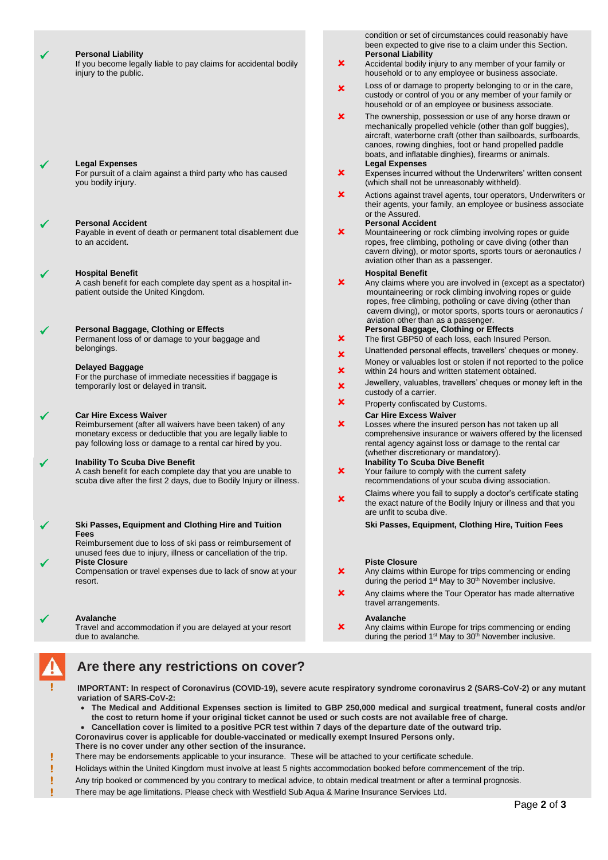| ✔ | <b>Personal Liability</b><br>If you become legally liable to pay claims for accidental bodily<br>injury to the public.                                                                                                  | $\pmb{\times}$ | condition or set of circumstances could reasonably have<br>been expected to give rise to a claim under this Section.<br><b>Personal Liability</b><br>Accidental bodily injury to any member of your family or<br>household or to any employee or business associate.                                                              |
|---|-------------------------------------------------------------------------------------------------------------------------------------------------------------------------------------------------------------------------|----------------|-----------------------------------------------------------------------------------------------------------------------------------------------------------------------------------------------------------------------------------------------------------------------------------------------------------------------------------|
|   |                                                                                                                                                                                                                         | $\mathbf x$    | Loss of or damage to property belonging to or in the care,<br>custody or control of you or any member of your family or<br>household or of an employee or business associate.                                                                                                                                                     |
| ✔ | <b>Legal Expenses</b>                                                                                                                                                                                                   | $\pmb{\times}$ | The ownership, possession or use of any horse drawn or<br>mechanically propelled vehicle (other than golf buggies),<br>aircraft, waterborne craft (other than sailboards, surfboards,<br>canoes, rowing dinghies, foot or hand propelled paddle<br>boats, and inflatable dinghies), firearms or animals.<br><b>Legal Expenses</b> |
|   | For pursuit of a claim against a third party who has caused<br>you bodily injury.                                                                                                                                       | ×              | Expenses incurred without the Underwriters' written consent<br>(which shall not be unreasonably withheld).                                                                                                                                                                                                                        |
| ✔ | <b>Personal Accident</b>                                                                                                                                                                                                | ×              | Actions against travel agents, tour operators, Underwriters or<br>their agents, your family, an employee or business associate<br>or the Assured.<br><b>Personal Accident</b>                                                                                                                                                     |
|   | Payable in event of death or permanent total disablement due<br>to an accident.                                                                                                                                         | ×              | Mountaineering or rock climbing involving ropes or guide<br>ropes, free climbing, potholing or cave diving (other than<br>cavern diving), or motor sports, sports tours or aeronautics /<br>aviation other than as a passenger.                                                                                                   |
| ✔ | <b>Hospital Benefit</b><br>A cash benefit for each complete day spent as a hospital in-<br>patient outside the United Kingdom.                                                                                          | ×              | <b>Hospital Benefit</b><br>Any claims where you are involved in (except as a spectator)<br>mountaineering or rock climbing involving ropes or guide<br>ropes, free climbing, potholing or cave diving (other than<br>cavern diving), or motor sports, sports tours or aeronautics /<br>aviation other than as a passenger.        |
| ✔ | Personal Baggage, Clothing or Effects<br>Permanent loss of or damage to your baggage and                                                                                                                                | ×              | Personal Baggage, Clothing or Effects<br>The first GBP50 of each loss, each Insured Person.                                                                                                                                                                                                                                       |
|   | belongings.                                                                                                                                                                                                             | $\pmb{\times}$ | Unattended personal effects, travellers' cheques or money.                                                                                                                                                                                                                                                                        |
|   | Delayed Baggage<br>For the purchase of immediate necessities if baggage is                                                                                                                                              | ×              | Money or valuables lost or stolen if not reported to the police<br>within 24 hours and written statement obtained.                                                                                                                                                                                                                |
|   | temporarily lost or delayed in transit.                                                                                                                                                                                 | $\pmb{\times}$ | Jewellery, valuables, travellers' cheques or money left in the<br>custody of a carrier.                                                                                                                                                                                                                                           |
|   |                                                                                                                                                                                                                         | ×              | Property confiscated by Customs.                                                                                                                                                                                                                                                                                                  |
| ✓ | <b>Car Hire Excess Waiver</b><br>Reimbursement (after all waivers have been taken) of any<br>monetary excess or deductible that you are legally liable to<br>pay following loss or damage to a rental car hired by you. | ×              | <b>Car Hire Excess Waiver</b><br>Losses where the insured person has not taken up all<br>comprehensive insurance or waivers offered by the licensed<br>rental agency against loss or damage to the rental car<br>(whether discretionary or mandatory).                                                                            |
| ✓ | <b>Inability To Scuba Dive Benefit</b><br>A cash benefit for each complete day that you are unable to                                                                                                                   | ×              | <b>Inability To Scuba Dive Benefit</b><br>Your failure to comply with the current safety                                                                                                                                                                                                                                          |
|   | scuba dive after the first 2 days, due to Bodily Injury or illness.                                                                                                                                                     |                | recommendations of your scuba diving association.                                                                                                                                                                                                                                                                                 |
|   |                                                                                                                                                                                                                         | ×              | Claims where you fail to supply a doctor's certificate stating<br>the exact nature of the Bodily Injury or illness and that you<br>are unfit to scuba dive.                                                                                                                                                                       |
| ✔ | Ski Passes, Equipment and Clothing Hire and Tuition<br>Fees                                                                                                                                                             |                | Ski Passes, Equipment, Clothing Hire, Tuition Fees                                                                                                                                                                                                                                                                                |
|   | Reimbursement due to loss of ski pass or reimbursement of<br>unused fees due to injury, illness or cancellation of the trip.                                                                                            |                |                                                                                                                                                                                                                                                                                                                                   |
|   | <b>Piste Closure</b><br>Compensation or travel expenses due to lack of snow at your<br>resort.                                                                                                                          | ×              | <b>Piste Closure</b><br>Any claims within Europe for trips commencing or ending<br>during the period 1 <sup>st</sup> May to 30 <sup>th</sup> November inclusive.                                                                                                                                                                  |
|   |                                                                                                                                                                                                                         | ×              | Any claims where the Tour Operator has made alternative<br>travel arrangements.                                                                                                                                                                                                                                                   |
| ✔ | Avalanche<br>Travel and accommodation if you are delayed at your resort<br>due to avalanche.                                                                                                                            | ×              | Avalanche<br>Any claims within Europe for trips commencing or ending<br>during the period 1 <sup>st</sup> May to 30 <sup>th</sup> November inclusive.                                                                                                                                                                             |

# **Are there any restrictions on cover?**

**! IMPORTANT: In respect of Coronavirus (COVID-19), severe acute respiratory syndrome coronavirus 2 (SARS-CoV-2) or any mutant variation of SARS-CoV-2:**

- **The Medical and Additional Expenses section is limited to GBP 250,000 medical and surgical treatment, funeral costs and/or the cost to return home if your original ticket cannot be used or such costs are not available free of charge.**
- **Cancellation cover is limited to a positive PCR test within 7 days of the departure date of the outward trip.**
- **Coronavirus cover is applicable for double-vaccinated or medically exempt Insured Persons only.**
- **There is no cover under any other section of the insurance.**
- **!** There may be endorsements applicable to your insurance. These will be attached to your certificate schedule.
- **!** Holidays within the United Kingdom must involve at least 5 nights accommodation booked before commencement of the trip.
- **!** Any trip booked or commenced by you contrary to medical advice, to obtain medical treatment or after a terminal prognosis.
- **!** There may be age limitations. Please check with Westfield Sub Aqua & Marine Insurance Services Ltd.